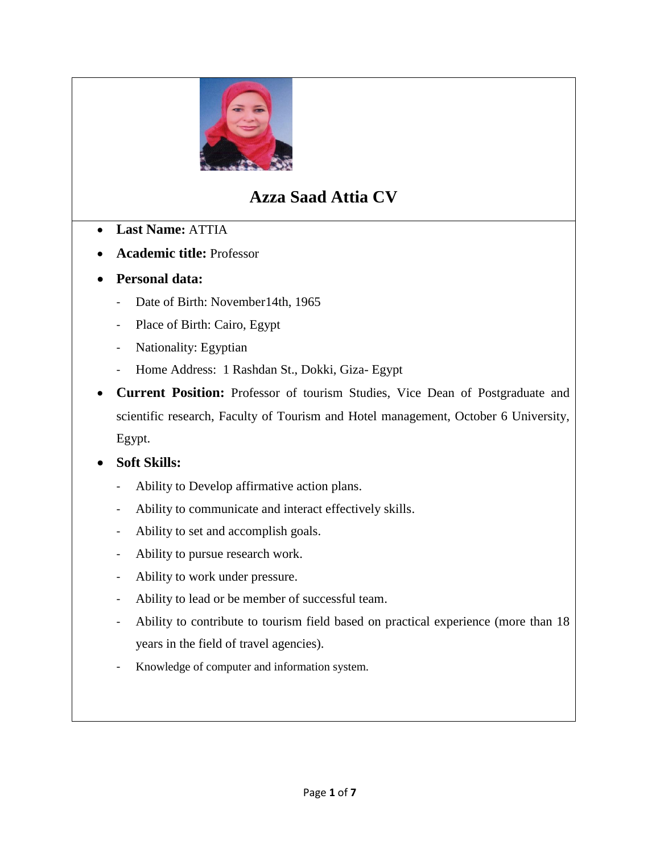

# **Azza Saad Attia CV**

- **Last Name:** ATTIA
- **Academic title:** Professor
- **Personal data:**
	- Date of Birth: November14th, 1965
	- Place of Birth: Cairo, Egypt
	- Nationality: Egyptian
	- Home Address: 1 Rashdan St., Dokki, Giza- Egypt
- **Current Position:** Professor of tourism Studies, Vice Dean of Postgraduate and scientific research, Faculty of Tourism and Hotel management, October 6 University, Egypt.

# **Soft Skills:**

- Ability to Develop affirmative action plans.
- Ability to communicate and interact effectively skills.
- Ability to set and accomplish goals.
- Ability to pursue research work.
- Ability to work under pressure.
- Ability to lead or be member of successful team.
- Ability to contribute to tourism field based on practical experience (more than 18 years in the field of travel agencies).
- Knowledge of computer and information system.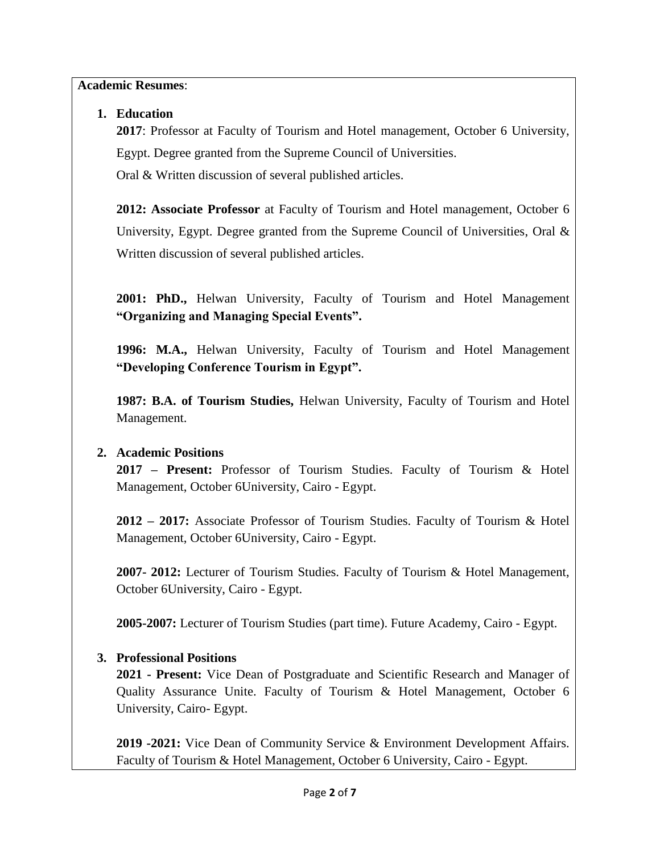**Academic Resumes**:

# **1. Education**

**2017**: Professor at Faculty of Tourism and Hotel management, October 6 University, Egypt. Degree granted from the Supreme Council of Universities.

Oral & Written discussion of several published articles.

**2012: Associate Professor** at Faculty of Tourism and Hotel management, October 6 University, Egypt. Degree granted from the Supreme Council of Universities, Oral  $\&$ Written discussion of several published articles.

**2001: PhD.,** Helwan University, Faculty of Tourism and Hotel Management **"Organizing and Managing Special Events".**

**1996: M.A.,** Helwan University, Faculty of Tourism and Hotel Management **"Developing Conference Tourism in Egypt".**

**1987: B.A. of Tourism Studies,** Helwan University, Faculty of Tourism and Hotel Management.

# **2. Academic Positions**

**2017 – Present:** Professor of Tourism Studies. Faculty of Tourism & Hotel Management, October 6University, Cairo - Egypt.

**2012 – 2017:** Associate Professor of Tourism Studies. Faculty of Tourism & Hotel Management, October 6University, Cairo - Egypt.

**2007- 2012:** Lecturer of Tourism Studies. Faculty of Tourism & Hotel Management, October 6University, Cairo - Egypt.

**2005-2007:** Lecturer of Tourism Studies (part time). Future Academy, Cairo - Egypt.

# **3. Professional Positions**

**2021 - Present:** Vice Dean of Postgraduate and Scientific Research and Manager of Quality Assurance Unite. Faculty of Tourism & Hotel Management, October 6 University, Cairo- Egypt.

**2019 -2021:** Vice Dean of Community Service & Environment Development Affairs. Faculty of Tourism & Hotel Management, October 6 University, Cairo - Egypt.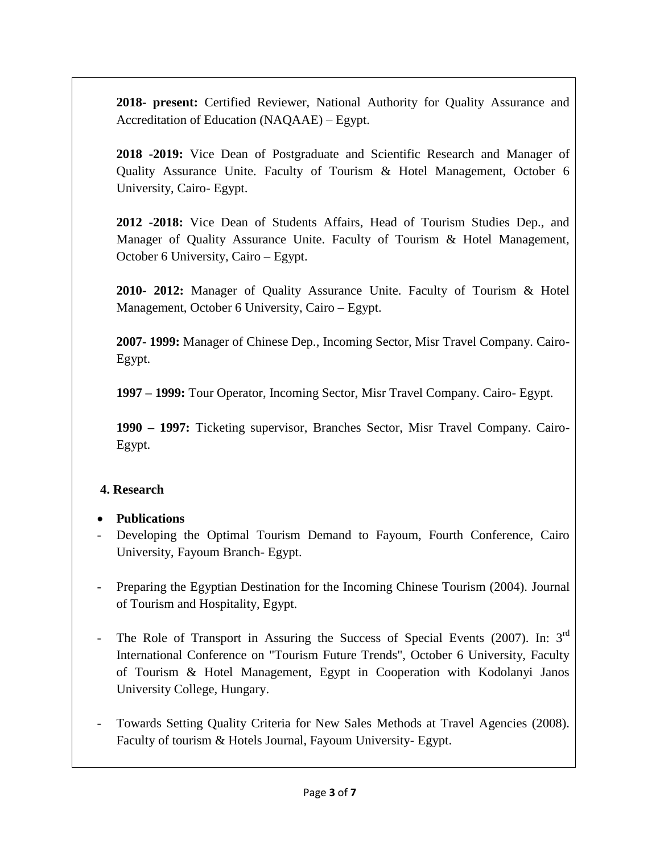**2018- present:** Certified Reviewer, National Authority for Quality Assurance and Accreditation of Education (NAQAAE) – Egypt.

**2018 -2019:** Vice Dean of Postgraduate and Scientific Research and Manager of Quality Assurance Unite. Faculty of Tourism & Hotel Management, October 6 University, Cairo- Egypt.

**2012 -2018:** Vice Dean of Students Affairs, Head of Tourism Studies Dep., and Manager of Quality Assurance Unite. Faculty of Tourism & Hotel Management, October 6 University, Cairo – Egypt.

**2010- 2012:** Manager of Quality Assurance Unite. Faculty of Tourism & Hotel Management, October 6 University, Cairo – Egypt.

**2007- 1999:** Manager of Chinese Dep., Incoming Sector, Misr Travel Company. Cairo-Egypt.

**1997 – 1999:** Tour Operator, Incoming Sector, Misr Travel Company. Cairo- Egypt.

**1990 – 1997:** Ticketing supervisor, Branches Sector, Misr Travel Company. Cairo-Egypt.

# **4. Research**

#### **Publications**

- Developing the Optimal Tourism Demand to Fayoum, Fourth Conference, Cairo University, Fayoum Branch- Egypt.
- Preparing the Egyptian Destination for the Incoming Chinese Tourism (2004). Journal of Tourism and Hospitality, Egypt.
- The Role of Transport in Assuring the Success of Special Events (2007). In: 3<sup>rd</sup> International Conference on "Tourism Future Trends", October 6 University, Faculty of Tourism & Hotel Management, Egypt in Cooperation with Kodolanyi Janos University College, Hungary.
- Towards Setting Quality Criteria for New Sales Methods at Travel Agencies (2008). Faculty of tourism & Hotels Journal, Fayoum University- Egypt.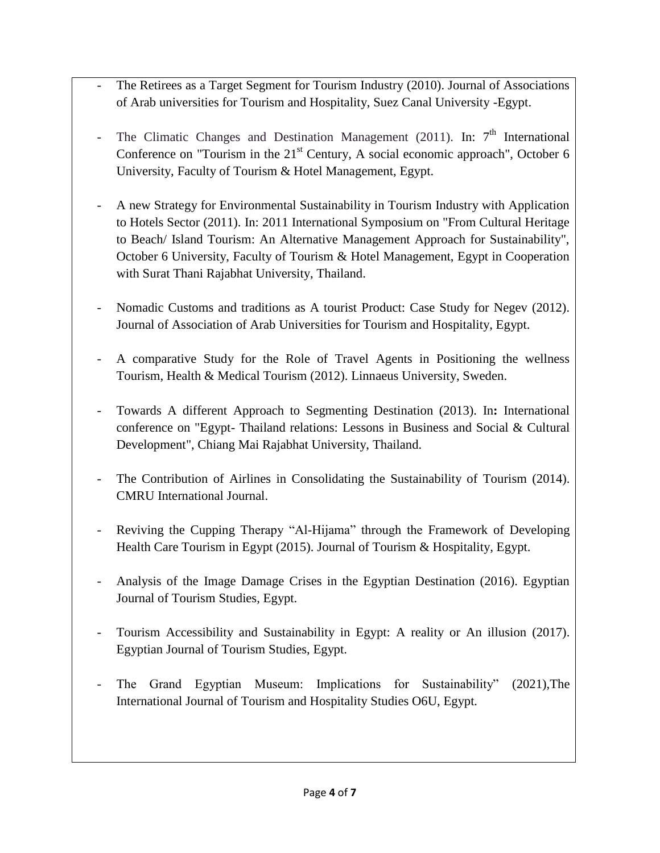- The Retirees as a Target Segment for Tourism Industry (2010). Journal of Associations of Arab universities for Tourism and Hospitality, Suez Canal University -Egypt.
- The Climatic Changes and Destination Management (2011). In:  $7<sup>th</sup>$  International Conference on "Tourism in the  $21<sup>st</sup>$  Century, A social economic approach", October 6 University, Faculty of Tourism & Hotel Management, Egypt.
- A new Strategy for Environmental Sustainability in Tourism Industry with Application to Hotels Sector (2011). In: 2011 International Symposium on "From Cultural Heritage to Beach/ Island Tourism: An Alternative Management Approach for Sustainability", October 6 University, Faculty of Tourism & Hotel Management, Egypt in Cooperation with Surat Thani Rajabhat University, Thailand.
- Nomadic Customs and traditions as A tourist Product: Case Study for Negev (2012). Journal of Association of Arab Universities for Tourism and Hospitality, Egypt.
- A comparative Study for the Role of Travel Agents in Positioning the wellness Tourism, Health & Medical Tourism (2012). Linnaeus University, Sweden.
- Towards A different Approach to Segmenting Destination (2013). In**:** International conference on "Egypt- Thailand relations: Lessons in Business and Social & Cultural Development", Chiang Mai Rajabhat University, Thailand.
- The Contribution of Airlines in Consolidating the Sustainability of Tourism (2014). CMRU International Journal.
- Reviving the Cupping Therapy "Al-Hijama" through the Framework of Developing Health Care Tourism in Egypt (2015). Journal of Tourism & Hospitality, Egypt.
- Analysis of the Image Damage Crises in the Egyptian Destination (2016). Egyptian Journal of Tourism Studies, Egypt.
- Tourism Accessibility and Sustainability in Egypt: A reality or An illusion (2017). Egyptian Journal of Tourism Studies, Egypt.
- The Grand Egyptian Museum: Implications for Sustainability" (2021),The International Journal of Tourism and Hospitality Studies O6U, Egypt*.*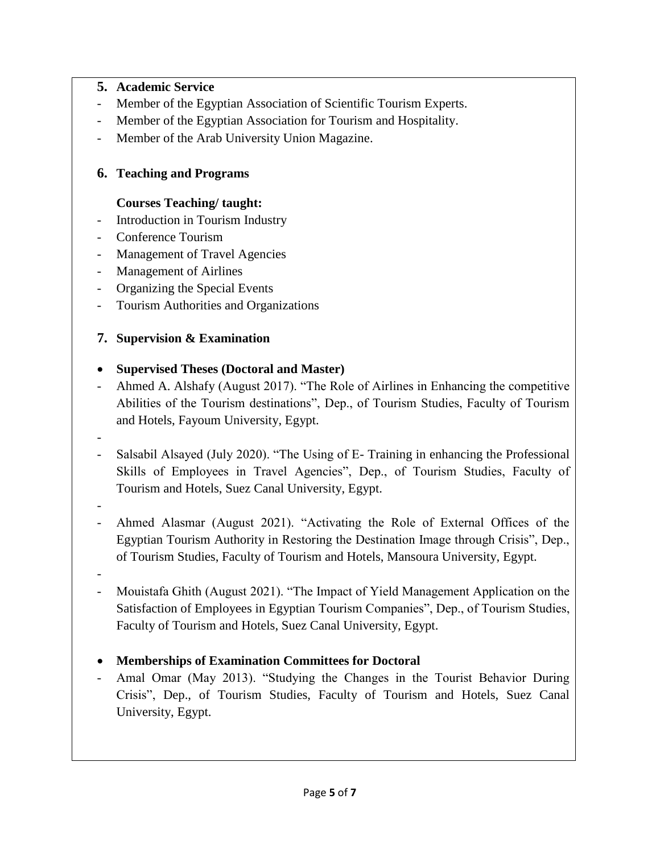#### **5. Academic Service**

- Member of the Egyptian Association of Scientific Tourism Experts.
- Member of the Egyptian Association for Tourism and Hospitality.
- Member of the Arab University Union Magazine.

## **6. Teaching and Programs**

#### **Courses Teaching/ taught:**

- Introduction in Tourism Industry
- Conference Tourism
- Management of Travel Agencies
- Management of Airlines
- Organizing the Special Events
- Tourism Authorities and Organizations

## **7. Supervision & Examination**

#### **Supervised Theses (Doctoral and Master)**

- Ahmed A. Alshafy (August 2017). "The Role of Airlines in Enhancing the competitive Abilities of the Tourism destinations", Dep., of Tourism Studies, Faculty of Tourism and Hotels, Fayoum University, Egypt.
- - Salsabil Alsayed (July 2020). "The Using of E- Training in enhancing the Professional Skills of Employees in Travel Agencies", Dep., of Tourism Studies, Faculty of Tourism and Hotels, Suez Canal University, Egypt.
- -
- Ahmed Alasmar (August 2021). "Activating the Role of External Offices of the Egyptian Tourism Authority in Restoring the Destination Image through Crisis", Dep., of Tourism Studies, Faculty of Tourism and Hotels, Mansoura University, Egypt.
- -
- Mouistafa Ghith (August 2021). "The Impact of Yield Management Application on the Satisfaction of Employees in Egyptian Tourism Companies", Dep., of Tourism Studies, Faculty of Tourism and Hotels, Suez Canal University, Egypt.
- **Memberships of Examination Committees for Doctoral**
- Amal Omar (May 2013). "Studying the Changes in the Tourist Behavior During Crisis", Dep., of Tourism Studies, Faculty of Tourism and Hotels, Suez Canal University, Egypt.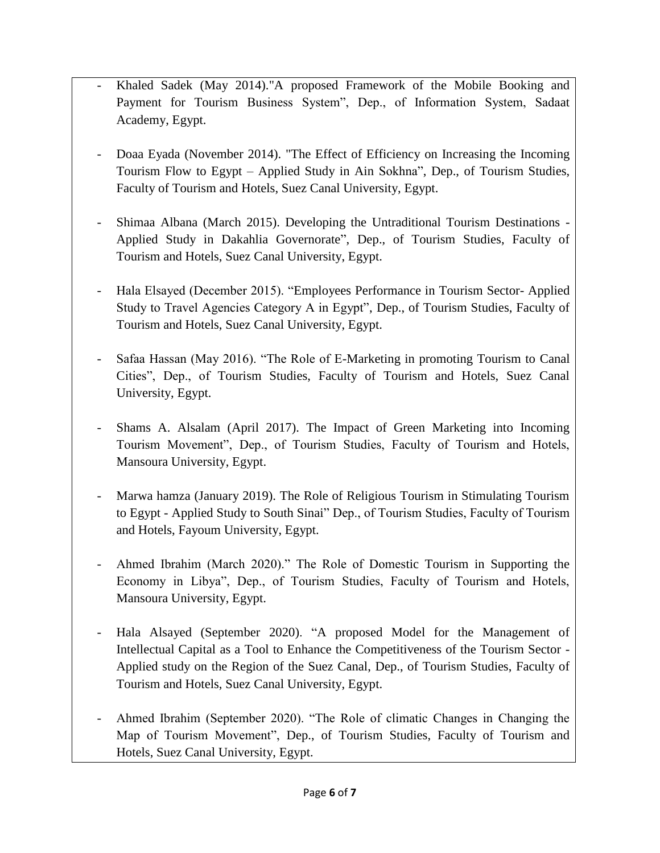- Khaled Sadek (May 2014)."A proposed Framework of the Mobile Booking and Payment for Tourism Business System", Dep., of Information System, Sadaat Academy, Egypt.
- Doaa Eyada (November 2014). "The Effect of Efficiency on Increasing the Incoming Tourism Flow to Egypt – Applied Study in Ain Sokhna", Dep., of Tourism Studies, Faculty of Tourism and Hotels, Suez Canal University, Egypt.
- Shimaa Albana (March 2015). Developing the Untraditional Tourism Destinations Applied Study in Dakahlia Governorate", Dep., of Tourism Studies, Faculty of Tourism and Hotels, Suez Canal University, Egypt.
- Hala Elsayed (December 2015). "Employees Performance in Tourism Sector- Applied Study to Travel Agencies Category A in Egypt", Dep., of Tourism Studies, Faculty of Tourism and Hotels, Suez Canal University, Egypt.
- Safaa Hassan (May 2016). "The Role of E-Marketing in promoting Tourism to Canal Cities", Dep., of Tourism Studies, Faculty of Tourism and Hotels, Suez Canal University, Egypt.
- Shams A. Alsalam (April 2017). The Impact of Green Marketing into Incoming Tourism Movement", Dep., of Tourism Studies, Faculty of Tourism and Hotels, Mansoura University, Egypt.
- Marwa hamza (January 2019). The Role of Religious Tourism in Stimulating Tourism to Egypt - Applied Study to South Sinai" Dep., of Tourism Studies, Faculty of Tourism and Hotels, Fayoum University, Egypt.
- Ahmed Ibrahim (March 2020)." The Role of Domestic Tourism in Supporting the Economy in Libya", Dep., of Tourism Studies, Faculty of Tourism and Hotels, Mansoura University, Egypt.
- Hala Alsayed (September 2020). "A proposed Model for the Management of Intellectual Capital as a Tool to Enhance the Competitiveness of the Tourism Sector - Applied study on the Region of the Suez Canal, Dep., of Tourism Studies, Faculty of Tourism and Hotels, Suez Canal University, Egypt.
- Ahmed Ibrahim (September 2020). "The Role of climatic Changes in Changing the Map of Tourism Movement", Dep., of Tourism Studies, Faculty of Tourism and Hotels, Suez Canal University, Egypt.